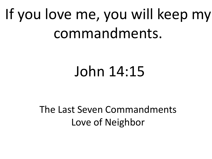# If you love me, you will keep my commandments.

# John 14:15

## The Last Seven Commandments Love of Neighbor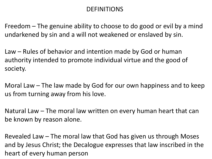#### DEFINITIONS

Freedom – The genuine ability to choose to do good or evil by a mind undarkened by sin and a will not weakened or enslaved by sin.

Law – Rules of behavior and intention made by God or human authority intended to promote individual virtue and the good of society.

Moral Law – The law made by God for our own happiness and to keep us from turning away from his love.

Natural Law – The moral law written on every human heart that can be known by reason alone.

Revealed Law – The moral law that God has given us through Moses and by Jesus Christ; the Decalogue expresses that law inscribed in the heart of every human person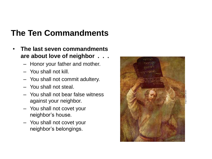## **The Ten Commandments**

- **The last seven commandments are about love of neighbor . . .** 
	- Honor your father and mother.
	- You shall not kill.
	- You shall not commit adultery.
	- You shall not steal.
	- You shall not bear false witness against your neighbor.
	- You shall not covet your neighbor's house.
	- You shall not covet your neighbor's belongings.

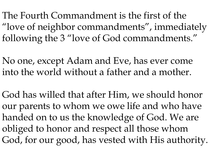The Fourth Commandment is the first of the "love of neighbor commandments", immediately following the 3 "love of God commandments."

No one, except Adam and Eve, has ever come into the world without a father and a mother.

God has willed that after Him, we should honor our parents to whom we owe life and who have handed on to us the knowledge of God. We are obliged to honor and respect all those whom God, for our good, has vested with His authority.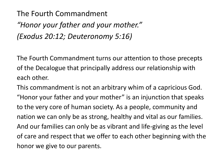The Fourth Commandment *"Honor your father and your mother." (Exodus 20:12; Deuteronomy 5:16)*

The Fourth Commandment turns our attention to those precepts of the Decalogue that principally address our relationship with each other.

This commandment is not an arbitrary whim of a capricious God. "Honor your father and your mother" is an injunction that speaks to the very core of human society. As a people, community and nation we can only be as strong, healthy and vital as our families. And our families can only be as vibrant and life-giving as the level of care and respect that we offer to each other beginning with the honor we give to our parents.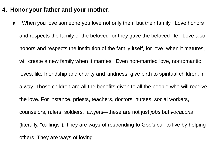#### **4. Honor your father and your mother**.

a. When you love someone you love not only them but their family. Love honors and respects the family of the beloved for they gave the beloved life. Love also honors and respects the institution of the family itself, for love, when it matures, will create a new family when it marries. Even non-married love, nonromantic loves, like friendship and charity and kindness, give birth to spiritual children, in a way. Those children are all the benefits given to all the people who will receive the love. For instance, priests, teachers, doctors, nurses, social workers, counselors, rulers, soldiers, lawyers—these are not just *jobs* but *vocations*  (literally, "callings"). They are ways of responding to God's call to live by helping others. They are ways of loving.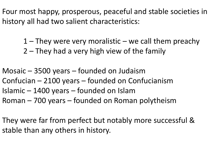Four most happy, prosperous, peaceful and stable societies in history all had two salient characteristics:

> $1$  – They were very moralistic – we call them preachy 2 – They had a very high view of the family

Mosaic – 3500 years – founded on Judaism Confucian – 2100 years – founded on Confucianism Islamic – 1400 years – founded on Islam Roman – 700 years – founded on Roman polytheism

They were far from perfect but notably more successful & stable than any others in history.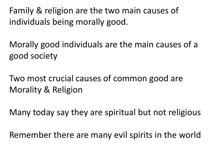Family & religion are the two main causes of individuals being morally good.

Morally good individuals are the main causes of a good society

Two most crucial causes of common good are Morality & Religion

Many today say they are spiritual but not religious

Remember there are many evil spirits in the world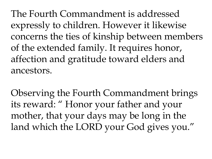The Fourth Commandment is addressed expressly to children. However it likewise concerns the ties of kinship between members of the extended family. It requires honor, affection and gratitude toward elders and ancestors.

Observing the Fourth Commandment brings its reward: " Honor your father and your mother, that your days may be long in the land which the LORD your God gives you."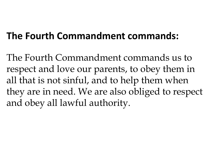## **The Fourth Commandment commands:**

The Fourth Commandment commands us to respect and love our parents, to obey them in all that is not sinful, and to help them when they are in need. We are also obliged to respect and obey all lawful authority.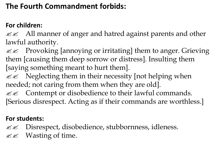## **The Fourth Commandment forbids:**

### **For children:**

 $\mathcal{Z}$   $\mathcal{Z}$  All manner of anger and hatred against parents and other lawful authority.

 $\mathscr{B} \mathscr{B}$  Provoking [annoying or irritating] them to anger. Grieving them [causing them deep sorrow or distress]. Insulting them [saying something meant to hurt them].

 $\mathcal{L}$  Neglecting them in their necessity [not helping when needed; not caring from them when they are old].

 $\mathscr{L} \mathscr{L}$  Contempt or disobedience to their lawful commands. [Serious disrespect. Acting as if their commands are worthless.]

#### **For students:**

- **EE** Disrespect, disobedience, stubbornness, idleness.
- $\mathscr{L} \mathscr{L}$  Wasting of time.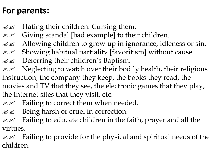## **For parents:**

- $\mathscr{B} \mathscr{A}$  Hating their children. Cursing them.
- $\mathscr{B} \mathscr{A}$  Giving scandal [bad example] to their children.
- $\mathscr{B} \mathscr{A}$  Allowing children to grow up in ignorance, idleness or sin.
- $\mathcal{Z}$  Showing habitual partiality [favoritism] without cause.
- $\mathscr{L} \mathscr{L}$  Deferring their children's Baptism.
- $\mathcal{L}$  Neglecting to watch over their bodily health, their religious instruction, the company they keep, the books they read, the movies and TV that they see, the electronic games that they play, the Internet sites that they visit, etc.
- $\mathscr{L} \mathscr{L}$  Failing to correct them when needed.
- $\mathscr{B} \mathscr{B}$  Being harsh or cruel in correction.
- $\mathcal{L}$  Failing to educate children in the faith, prayer and all the virtues.
- $\mathcal{L}$  Failing to provide for the physical and spiritual needs of the children.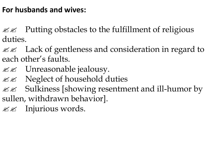## **For husbands and wives:**

 $\mathcal{Z}$  Putting obstacles to the fulfillment of religious duties.

 $\mathscr{B} \mathscr{A}$  Lack of gentleness and consideration in regard to each other's faults.

- $\mathscr{L}\mathscr{L}$  Unreasonable jealousy.
- $\mathscr{B} \mathscr{B}$  Neglect of household duties
- $\mathcal{L} \mathcal{L}$  Sulkiness [showing resentment and ill-humor by sullen, withdrawn behavior].
- $\mathscr{L} \mathscr{L}$  Injurious words.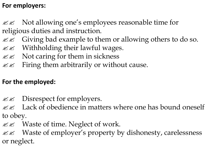#### **For employers:**

 $\mathscr{L} \mathscr{L}$  Not allowing one's employees reasonable time for religious duties and instruction.

- $\mathcal{Z}$  Giving bad example to them or allowing others to do so.
- $\mathcal{L}$  Withholding their lawful wages.
- $\mathscr{L} \mathscr{L}$  Not caring for them in sickness
- $\mathscr{B} \mathscr{B}$  Firing them arbitrarily or without cause.

### **For the employed:**

 $\mathscr{L}\mathscr{L}$  Disrespect for employers.

88 Lack of obedience in matters where one has bound oneself to obey.

 $\mathscr{L} \mathscr{L}$  Waste of time. Neglect of work.

 $\mathcal{Z}$  Waste of employer's property by dishonesty, carelessness or neglect.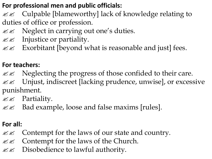### **For professional men and public officials:**

- $\mathcal{Z}$  Culpable [blameworthy] lack of knowledge relating to duties of office or profession.
- $\mathscr{L} \mathscr{L}$  Neglect in carrying out one's duties.
- $\mathscr{L} \mathscr{L}$  Injustice or partiality.
- **Exorbitant [beyond what is reasonable and just] fees.**

## **For teachers:**

- $\mathscr{L} \mathscr{L}$  Neglecting the progress of those confided to their care.
- **EE** Unjust, indiscreet [lacking prudence, unwise], or excessive punishment.
- $\mathscr{L} \mathscr{L}$  Partiality.
- $\mathscr{B} \mathscr{B}$  Bad example, loose and false maxims [rules].

## **For all:**

- $\mathcal{L}$  Contempt for the laws of our state and country.
- $\mathcal{L}$  Contempt for the laws of the Church.
- $\mathcal{Z}$  Disobedience to lawful authority.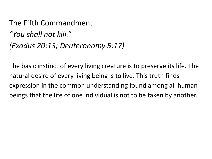The Fifth Commandment *"You shall not kill." (Exodus 20:13; Deuteronomy 5:17)*

The basic instinct of every living creature is to preserve its life. The natural desire of every living being is to live. This truth finds expression in the common understanding found among all human beings that the life of one individual is not to be taken by another.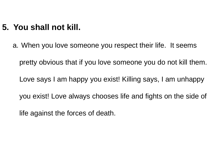## **5. You shall not kill.**

a. When you love someone you respect their life. It seems pretty obvious that if you love someone you do not kill them. Love says I am happy you exist! Killing says, I am unhappy you exist! Love always chooses life and fights on the side of

life against the forces of death.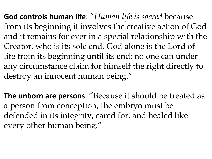**God controls human life**: "*Human life is sacred* because from its beginning it involves the creative action of God and it remains for ever in a special relationship with the Creator, who is its sole end. God alone is the Lord of life from its beginning until its end: no one can under any circumstance claim for himself the right directly to destroy an innocent human being."

**The unborn are persons**: "Because it should be treated as a person from conception, the embryo must be defended in its integrity, cared for, and healed like every other human being."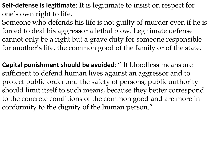- **Self-defense is legitimate**: It is legitimate to insist on respect for one's own right to life.
- Someone who defends his life is not guilty of murder even if he is forced to deal his aggressor a lethal blow. Legitimate defense cannot only be a right but a grave duty for someone responsible for another's life, the common good of the family or of the state.
- **Capital punishment should be avoided**: " If bloodless means are sufficient to defend human lives against an aggressor and to protect public order and the safety of persons, public authority should limit itself to such means, because they better correspond to the concrete conditions of the common good and are more in conformity to the dignity of the human person."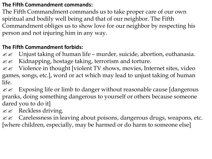#### **The Fifth Commandment commands:**

The Fifth Commandment commands us to take proper care of our own spiritual and bodily well being and that of our neighbor. The Fifth Commandment obliges us to show love for our neighbor by respecting his person and not injuring him in any way.

#### **The Fifth Commandment forbids:**

 $\mathcal{Z}$  Unjust taking of human life – murder, suicide, abortion, euthanasia.  $\mathcal{Z}$  Kidnapping, hostage taking, terrorism and torture.

**EX** Violence in thought [violent TV shows, movies, Internet sites, video games, songs, etc.], word or act which may lead to unjust taking of human life.

 $\mathcal{Z}$  Exposing life or limb to danger without reasonable cause [dangerous pranks, doing something dangerous to yourself or others because someone dared you to do it]

 $\mathscr{L} \mathscr{L}$  Reckless driving.

**EX** Carelessness in leaving about poisons, dangerous drugs, weapons, etc. [where children, especially, may be harmed or do harm to someone else]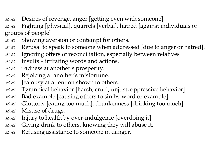- $\mathcal{Z}$  Desires of revenge, anger [getting even with someone]
- ?? Fighting [physical], quarrels [verbal], hatred [against individuals or groups of people]
- $\mathscr{L} \mathscr{L}$  Showing aversion or contempt for others.
- $\mathcal{L}$  Refusal to speak to someone when addressed [due to anger or hatred].
- $\mathscr{B} \mathscr{B}$  Ignoring offers of reconciliation, especially between relatives
- $\mathcal{Z}$  Insults irritating words and actions.
- $\mathscr{L} \mathscr{L}$  Sadness at another's prosperity.
- $\mathscr{L}\mathscr{L}$  Rejoicing at another's misfortune.
- $\mathcal{Z}$  Jealousy at attention shown to others.
- $\mathcal{Z}$  Tyrannical behavior [harsh, cruel, unjust, oppressive behavior].
- $\mathcal{L}$  Bad example [causing others to sin by word or example].
- $\mathcal{L}$  Gluttony [eating too much], drunkenness [drinking too much].
- $\mathscr{L} \mathscr{L}$  Misuse of drugs.
- $\mathcal{Z}$  Injury to health by over-indulgence [overdoing it].
- $\mathcal{Z}$  Giving drink to others, knowing they will abuse it.
- $\mathscr{B} \mathscr{B}$  Refusing assistance to someone in danger.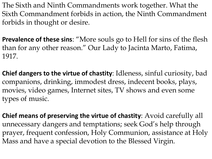The Sixth and Ninth Commandments work together. What the Sixth Commandment forbids in action, the Ninth Commandment forbids in thought or desire.

**Prevalence of these sins**: "More souls go to Hell for sins of the flesh than for any other reason." Our Lady to Jacinta Marto, Fatima, 1917.

**Chief dangers to the virtue of chastity**: Idleness, sinful curiosity, bad companions, drinking, immodest dress, indecent books, plays, movies, video games, Internet sites, TV shows and even some types of music.

**Chief means of preserving the virtue of chastity**: Avoid carefully all unnecessary dangers and temptations; seek God's help through prayer, frequent confession, Holy Communion, assistance at Holy Mass and have a special devotion to the Blessed Virgin.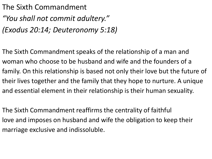The Sixth Commandment

*"You shall not commit adultery."*

*(Exodus 20:14; Deuteronomy 5:18)*

The Sixth Commandment speaks of the relationship of a man and woman who choose to be husband and wife and the founders of a family. On this relationship is based not only their love but the future of their lives together and the family that they hope to nurture. A unique and essential element in their relationship is their human sexuality.

The Sixth Commandment reaffirms the centrality of faithful love and imposes on husband and wife the obligation to keep their marriage exclusive and indissoluble.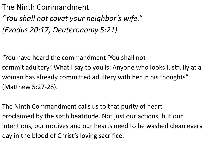The Ninth Commandment

*"You shall not covet your neighbor's wife." (Exodus 20:17; Deuteronomy 5:21)*

"You have heard the commandment 'You shall not commit adultery.' What I say to you is: Anyone who looks lustfully at a woman has already committed adultery with her in his thoughts" (Matthew 5:27-28).

The Ninth Commandment calls us to that purity of heart proclaimed by the sixth beatitude. Not just our actions, but our intentions, our motives and our hearts need to be washed clean every day in the blood of Christ's loving sacrifice.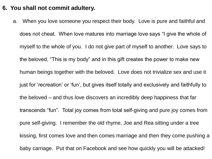#### **6. You shall not commit adultery.**

a. When you love someone you respect their body. Love is pure and faithful and does not cheat. When love matures into marriage love says "I give the whole of myself to the whole of you. I do not give part of myself to another. Love says to the beloved, "This is my body" and in this gift creates the power to make new human beings together with the beloved. Love does not trivialize sex and use it just for 'recreation' or 'fun', but gives itself totally and exclusively and faithfully to the beloved – and thus love discovers an incredibly deep happiness that far transcends "fun". Total joy comes from total self-giving and pure joy comes from pure self-giving. I remember the old rhyme, Joe and Rea sitting under a tree kissing, first comes love and then comes marriage and then they come pushing a baby carriage. Put that on Facebook and see how quickly you will be attacked!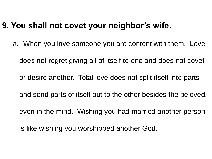## **9. You shall not covet your neighbor's wife.**

a. When you love someone you are content with them. Love does not regret giving all of itself to one and does not covet or desire another. Total love does not split itself into parts and send parts of itself out to the other besides the beloved, even in the mind. Wishing you had married another person is like wishing you worshipped another God.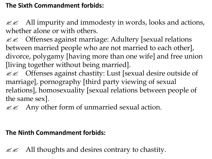#### **The Sixth Commandment forbids:**

 $\mathcal{Z}$  All impurity and immodesty in words, looks and actions, whether alone or with others.

**EE** Offenses against marriage: Adultery [sexual relations between married people who are not married to each other], divorce, polygamy [having more than one wife] and free union [living together without being married].

 $\mathscr{L}$  Offenses against chastity: Lust [sexual desire outside of marriage], pornography [third party viewing of sexual relations], homosexuality [sexual relations between people of the same sex].

 $\mathcal{Z}$  Any other form of unmarried sexual action.

#### **The Ninth Commandment forbids:**

 $\mathcal{Z}$  All thoughts and desires contrary to chastity.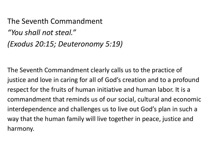The Seventh Commandment *"You shall not steal." (Exodus 20:15; Deuteronomy 5:19)*

The Seventh Commandment clearly calls us to the practice of justice and love in caring for all of God's creation and to a profound respect for the fruits of human initiative and human labor. It is a commandment that reminds us of our social, cultural and economic interdependence and challenges us to live out God's plan in such a way that the human family will live together in peace, justice and harmony.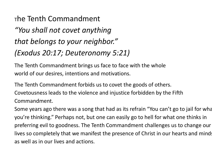## $<sub>T</sub>$ he Tenth Commandment</sub> *"You shall not covet anything that belongs to your neighbor." (Exodus 20:17; Deuteronomy 5:21)*

The Tenth Commandment brings us face to face with the whole world of our desires, intentions and motivations.

The Tenth Commandment forbids us to covet the goods of others. Covetousness leads to the violence and injustice forbidden by the Fifth Commandment.

Some years ago there was a song that had as its refrain "You can't go to jail for what you're thinking." Perhaps not, but one can easily go to hell for what one thinks in preferring evil to goodness. The Tenth Commandment challenges us to change our lives so completely that we manifest the presence of Christ in our hearts and minds as well as in our lives and actions.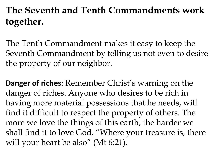## **The Seventh and Tenth Commandments work together.**

The Tenth Commandment makes it easy to keep the Seventh Commandment by telling us not even to desire the property of our neighbor.

**Danger of riches**: Remember Christ's warning on the danger of riches. Anyone who desires to be rich in having more material possessions that he needs, will find it difficult to respect the property of others. The more we love the things of this earth, the harder we shall find it to love God. "Where your treasure is, there will your heart be also" (Mt 6:21).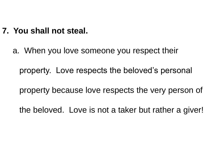## **7. You shall not steal.**

a. When you love someone you respect their property. Love respects the beloved's personal property because love respects the very person of the beloved. Love is not a taker but rather a giver!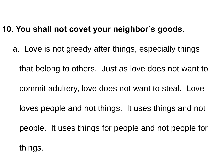## **10. You shall not covet your neighbor's goods.**

a. Love is not greedy after things, especially things that belong to others. Just as love does not want to

commit adultery, love does not want to steal. Love

loves people and not things. It uses things and not

people. It uses things for people and not people for

things.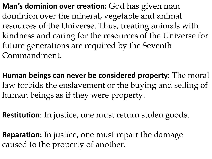**Man's dominion over creation:** God has given man dominion over the mineral, vegetable and animal resources of the Universe. Thus, treating animals with kindness and caring for the resources of the Universe for future generations are required by the Seventh Commandment.

**Human beings can never be considered property**: The moral law forbids the enslavement or the buying and selling of human beings as if they were property.

**Restitution**: In justice, one must return stolen goods.

**Reparation:** In justice, one must repair the damage caused to the property of another.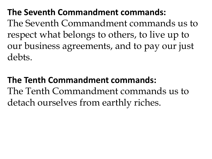**The Seventh Commandment commands:** The Seventh Commandment commands us to respect what belongs to others, to live up to our business agreements, and to pay our just debts.

## **The Tenth Commandment commands:** The Tenth Commandment commands us to detach ourselves from earthly riches.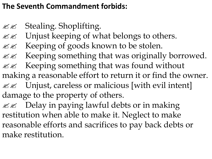## **The Seventh Commandment forbids:**

- $\mathscr{L} \mathscr{L}$  Stealing. Shoplifting.
- $\mathcal{L} \otimes \mathcal{L}$  Unjust keeping of what belongs to others.
- $\mathscr{B} \mathscr{B}$  Keeping of goods known to be stolen.
- $\mathcal{Z} \mathcal{Z}$  Keeping something that was originally borrowed.
- $\mathcal{L} \otimes \mathcal{L}$  Keeping something that was found without making a reasonable effort to return it or find the owner.  $\mathscr{B} \mathscr{A}$  Unjust, careless or malicious [with evil intent] damage to the property of others.
- $\mathcal{L} \mathcal{L}$  Delay in paying lawful debts or in making restitution when able to make it. Neglect to make reasonable efforts and sacrifices to pay back debts or make restitution.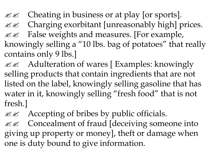$\mathscr{B} \mathscr{L}$  Cheating in business or at play [or sports].  $\mathscr{B} \mathscr{B}$  Charging exorbitant [unreasonably high] prices.  $\mathscr{B} \mathscr{B}$  False weights and measures. [For example, knowingly selling a "10 lbs. bag of potatoes" that really contains only 9 lbs.]

?? Adulteration of wares [ Examples: knowingly selling products that contain ingredients that are not listed on the label, knowingly selling gasoline that has water in it, knowingly selling "fresh food" that is not fresh.]

 $\mathscr{B} \mathscr{L}$  Accepting of bribes by public officials.

**EXECOncealment of fraud [deceiving someone into** giving up property or money], theft or damage when one is duty bound to give information.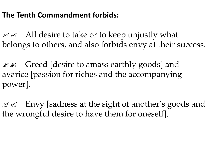### **The Tenth Commandment forbids:**

 $\mathcal{L} \otimes \mathcal{L}$  All desire to take or to keep unjustly what belongs to others, and also forbids envy at their success.

 $\mathscr{B} \mathscr{L}$  Greed [desire to amass earthly goods] and avarice [passion for riches and the accompanying power].

 $\mathscr{B} \mathscr{L}$  Envy [sadness at the sight of another's goods and the wrongful desire to have them for oneself].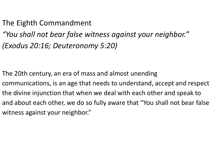The Eighth Commandment *"You shall not bear false witness against your neighbor." (Exodus 20:16; Deuteronomy 5:20)*

The 20th century, an era of mass and almost unending communications, is an age that needs to understand, accept and respect the divine injunction that when we deal with each other and speak to and about each other, we do so fully aware that "You shall not bear false witness against your neighbor."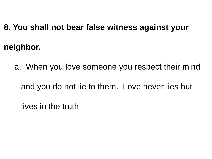# **8. You shall not bear false witness against your neighbor.**

a. When you love someone you respect their mind and you do not lie to them. Love never lies but

lives in the truth.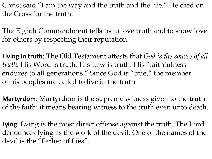Christ said "I am the way and the truth and the life." He died on the Cross for the truth.

The Eighth Commandment tells us to love truth and to show love for others by respecting their reputation.

**Living in truth**: The Old Testament attests that *God is the source of all truth.* His Word is truth. His Law is truth. His "faithfulness endures to all generations." Since God is "true," the member of his peoples are called to live in the truth.

**Martyrdom**: Martyrdom is the supreme witness given to the truth of the faith: it means bearing witness to the truth even unto death.

**Lying**: Lying is the most direct offense against the truth. The Lord denounces lying as the work of the devil. One of the names of the devil is the "Father of Lies".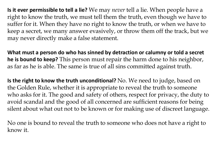**Is it ever permissible to tell a lie?** We may *never* tell a lie. When people have a right to know the truth, we must tell them the truth, even though we have to suffer for it. When they have no right to know the truth, or when we have to keep a secret, we many answer evasively, or throw them off the track, but we may never directly make a false statement.

**What must a person do who has sinned by detraction or calumny or told a secret he is bound to keep?** This person must repair the harm done to his neighbor, as far as he is able. The same is true of all sins committed against truth.

**Is the right to know the truth unconditional?** No. We need to judge, based on the Golden Rule, whether it is appropriate to reveal the truth to someone who asks for it. The good and safety of others, respect for privacy, the duty to avoid scandal and the good of all concerned are sufficient reasons for being silent about what out not to be known or for making use of discreet language.

No one is bound to reveal the truth to someone who does not have a right to know it.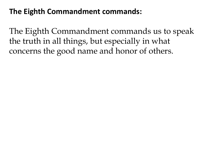## **The Eighth Commandment commands:**

The Eighth Commandment commands us to speak the truth in all things, but especially in what concerns the good name and honor of others.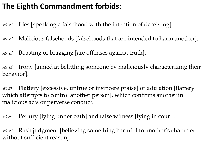## **The Eighth Commandment forbids:**

- $\mathscr{B}$  Lies [speaking a falsehood with the intention of deceiving].
- $\mathcal{L}$  Malicious falsehoods [falsehoods that are intended to harm another].
- $\mathscr{B} \mathscr{B}$  Boasting or bragging [are offenses against truth].

 $\mathcal{L}$  Irony [aimed at belittling someone by maliciously characterizing their behavior].

 $\mathscr{B} \mathscr{B}$  Flattery [excessive, untrue or insincere praise] or adulation [flattery which attempts to control another person], which confirms another in malicious acts or perverse conduct.

 $\mathscr{B} \mathscr{B}$  Perjury [lying under oath] and false witness [lying in court].

 $\mathcal{Z}$  Rash judgment [believing something harmful to another's character without sufficient reason].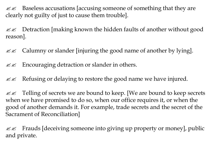$\mathscr{B} \mathscr{B}$  Baseless accusations [accusing someone of something that they are clearly not guilty of just to cause them trouble].

 $\mathcal{L}$  Detraction [making known the hidden faults of another without good reason].

 $\mathcal{Z}$  Calumny or slander [injuring the good name of another by lying].

 $\mathscr{L}\mathscr{L}$  Encouraging detraction or slander in others.

 $\mathcal{Z}$  Refusing or delaying to restore the good name we have injured.

**EXECUTE 3** Telling of secrets we are bound to keep. [We are bound to keep secrets when we have promised to do so, when our office requires it, or when the good of another demands it. For example, trade secrets and the secret of the Sacrament of Reconciliation]

 $\mathcal{Z}$  Frauds [deceiving someone into giving up property or money], public and private.